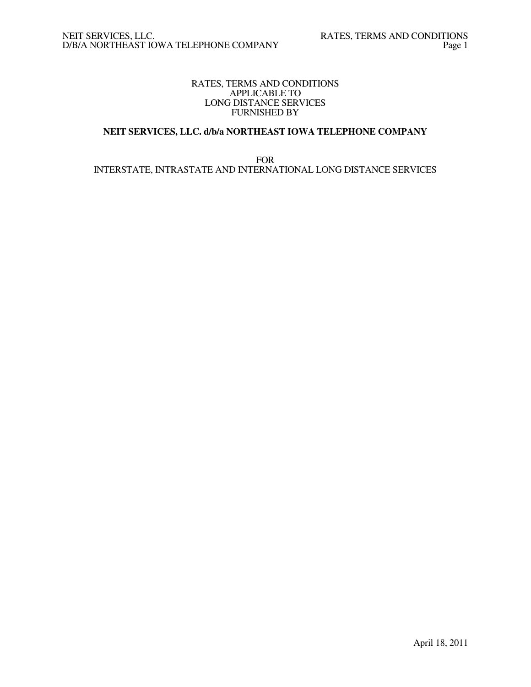## RATES, TERMS AND CONDITIONS APPLICABLE TO LONG DISTANCE SERVICES FURNISHED BY

# **NEIT SERVICES, LLC. d/b/a NORTHEAST IOWA TELEPHONE COMPANY**

FOR INTERSTATE, INTRASTATE AND INTERNATIONAL LONG DISTANCE SERVICES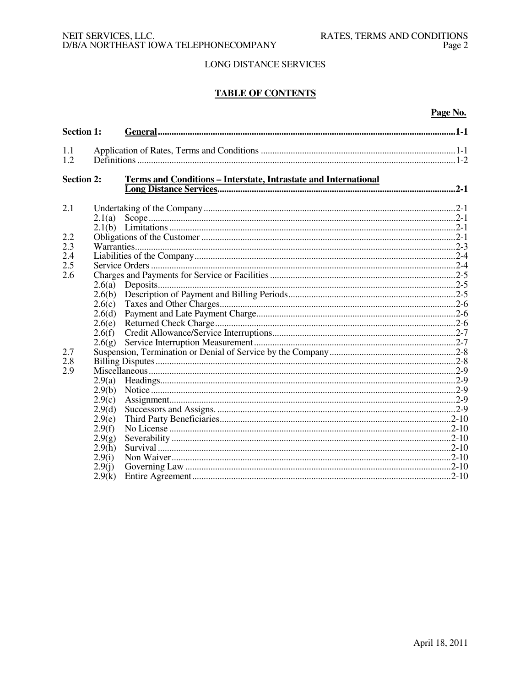# **TABLE OF CONTENTS**

## Page No.

| <b>Section 1:</b> |        |                                                                 |  |
|-------------------|--------|-----------------------------------------------------------------|--|
| 1.1               |        |                                                                 |  |
| 1.2               |        |                                                                 |  |
| <b>Section 2:</b> |        | Terms and Conditions - Interstate, Intrastate and International |  |
| 2.1               |        |                                                                 |  |
|                   | 2.1(a) |                                                                 |  |
|                   |        |                                                                 |  |
| 2.2               |        |                                                                 |  |
| 2.3               |        |                                                                 |  |
| 2.4               |        |                                                                 |  |
| 2.5               |        |                                                                 |  |
| 2.6               |        |                                                                 |  |
|                   | 2.6(a) |                                                                 |  |
|                   | 2.6(b) |                                                                 |  |
|                   | 2.6(c) |                                                                 |  |
|                   | 2.6(d) |                                                                 |  |
|                   | 2.6(e) |                                                                 |  |
|                   | 2.6(f) |                                                                 |  |
|                   | 2.6(g) |                                                                 |  |
| 2.7               |        |                                                                 |  |
| 2.8               |        |                                                                 |  |
| 2.9               |        |                                                                 |  |
|                   | 2.9(a) |                                                                 |  |
|                   | 2.9(b) |                                                                 |  |
|                   | 2.9(c) |                                                                 |  |
|                   | 2.9(d) |                                                                 |  |
|                   | 2.9(e) |                                                                 |  |
|                   | 2.9(f) |                                                                 |  |
|                   | 2.9(g) |                                                                 |  |
|                   | 2.9(h) |                                                                 |  |
|                   | 2.9(i) |                                                                 |  |
|                   | 2.9(j) |                                                                 |  |
|                   | 2.9(k) |                                                                 |  |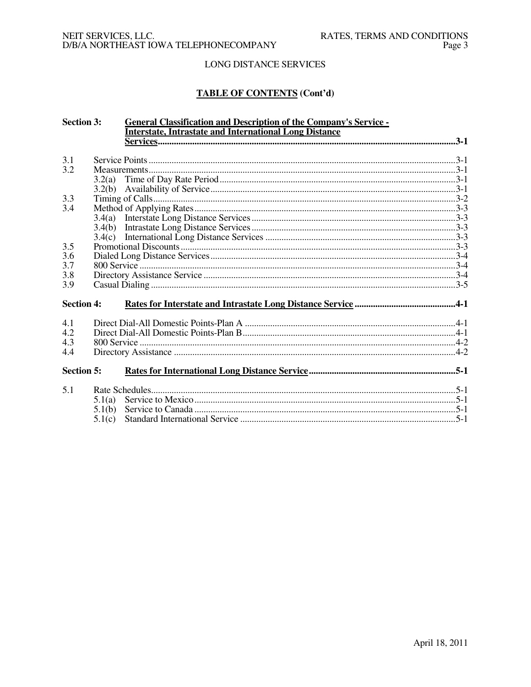# **TABLE OF CONTENTS (Cont'd)**

| <b>Section 3:</b> |        | <b>General Classification and Description of the Company's Service -</b> |  |
|-------------------|--------|--------------------------------------------------------------------------|--|
|                   |        | <b>Interstate, Intrastate and International Long Distance</b>            |  |
|                   |        |                                                                          |  |
| 3.1               |        |                                                                          |  |
| 3.2               |        |                                                                          |  |
|                   | 3.2(a) |                                                                          |  |
|                   | 3.2(b) |                                                                          |  |
| 3.3               |        |                                                                          |  |
| 3.4               |        |                                                                          |  |
|                   | 3.4(a) |                                                                          |  |
|                   | 3.4(b) |                                                                          |  |
|                   |        |                                                                          |  |
| 3.5               |        |                                                                          |  |
| 3.6               |        |                                                                          |  |
| 3.7               |        |                                                                          |  |
| 3.8               |        |                                                                          |  |
| 3.9               |        |                                                                          |  |
| <b>Section 4:</b> |        |                                                                          |  |
|                   |        |                                                                          |  |
| 4.1               |        |                                                                          |  |
| 4.2               |        |                                                                          |  |
| 4.3               |        |                                                                          |  |
| 4.4               |        |                                                                          |  |
| <b>Section 5:</b> |        |                                                                          |  |
|                   |        |                                                                          |  |
| 5.1               |        |                                                                          |  |
|                   | 5.1(a) |                                                                          |  |
|                   | 5.1(b) |                                                                          |  |
|                   | 5.1(c) |                                                                          |  |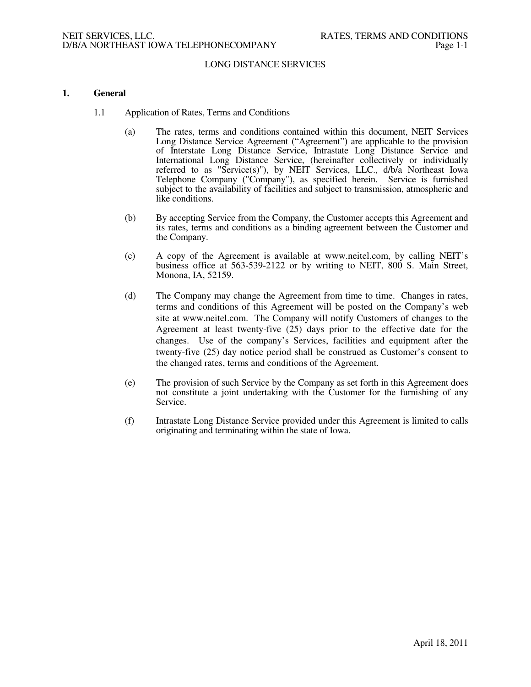#### **1. General**

- 1.1 Application of Rates, Terms and Conditions
	- (a) The rates, terms and conditions contained within this document, NEIT Services Long Distance Service Agreement ("Agreement") are applicable to the provision of Interstate Long Distance Service, Intrastate Long Distance Service and International Long Distance Service, (hereinafter collectively or individually referred to as "Service(s)"), by NEIT Services, LLC., d/b/a Northeast Iowa Telephone Company ("Company"), as specified herein. Service is furnished subject to the availability of facilities and subject to transmission, atmospheric and like conditions.
	- (b) By accepting Service from the Company, the Customer accepts this Agreement and its rates, terms and conditions as a binding agreement between the Customer and the Company.
	- (c) A copy of the Agreement is available at www.neitel.com, by calling NEIT's business office at 563-539-2122 or by writing to NEIT, 800 S. Main Street, Monona, IA, 52159.
	- (d) The Company may change the Agreement from time to time. Changes in rates, terms and conditions of this Agreement will be posted on the Company's web site at www.neitel.com. The Company will notify Customers of changes to the Agreement at least twenty-five (25) days prior to the effective date for the changes. Use of the company's Services, facilities and equipment after the twenty-five (25) day notice period shall be construed as Customer's consent to the changed rates, terms and conditions of the Agreement.
	- (e) The provision of such Service by the Company as set forth in this Agreement does not constitute a joint undertaking with the Customer for the furnishing of any Service.
	- (f) Intrastate Long Distance Service provided under this Agreement is limited to calls originating and terminating within the state of Iowa.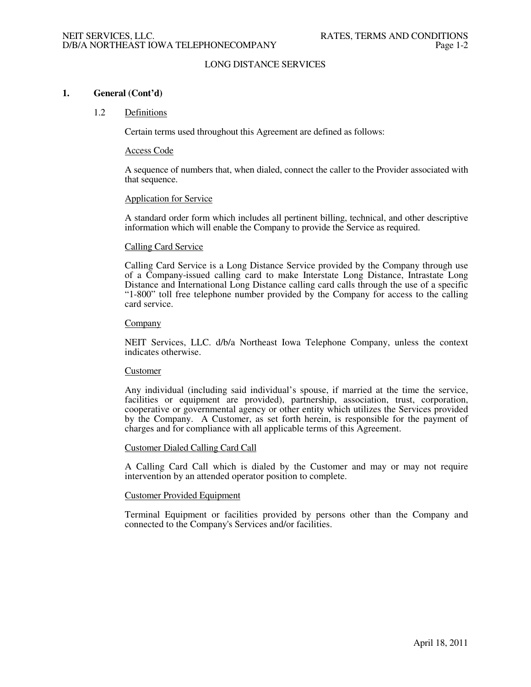### **1. General (Cont'd)**

#### 1.2 Definitions

Certain terms used throughout this Agreement are defined as follows:

#### Access Code

A sequence of numbers that, when dialed, connect the caller to the Provider associated with that sequence.

#### Application for Service

A standard order form which includes all pertinent billing, technical, and other descriptive information which will enable the Company to provide the Service as required.

#### Calling Card Service

Calling Card Service is a Long Distance Service provided by the Company through use of a Company-issued calling card to make Interstate Long Distance, Intrastate Long Distance and International Long Distance calling card calls through the use of a specific "1-800" toll free telephone number provided by the Company for access to the calling card service.

#### Company

NEIT Services, LLC. d/b/a Northeast Iowa Telephone Company, unless the context indicates otherwise.

#### Customer

Any individual (including said individual's spouse, if married at the time the service, facilities or equipment are provided), partnership, association, trust, corporation, cooperative or governmental agency or other entity which utilizes the Services provided by the Company. A Customer, as set forth herein, is responsible for the payment of charges and for compliance with all applicable terms of this Agreement.

#### Customer Dialed Calling Card Call

A Calling Card Call which is dialed by the Customer and may or may not require intervention by an attended operator position to complete.

#### Customer Provided Equipment

Terminal Equipment or facilities provided by persons other than the Company and connected to the Company's Services and/or facilities.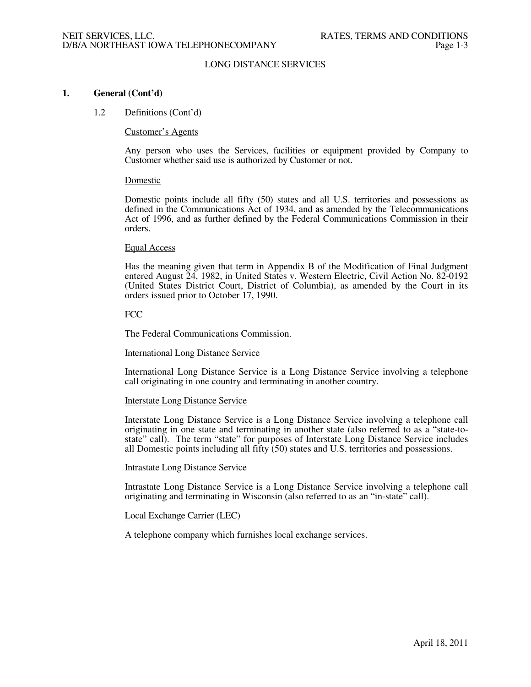### **1. General (Cont'd)**

#### 1.2 Definitions (Cont'd)

#### Customer's Agents

Any person who uses the Services, facilities or equipment provided by Company to Customer whether said use is authorized by Customer or not.

#### Domestic

Domestic points include all fifty (50) states and all U.S. territories and possessions as defined in the Communications Act of 1934, and as amended by the Telecommunications Act of 1996, and as further defined by the Federal Communications Commission in their orders.

#### Equal Access

Has the meaning given that term in Appendix B of the Modification of Final Judgment entered August 24, 1982, in United States v. Western Electric, Civil Action No. 82-0192 (United States District Court, District of Columbia), as amended by the Court in its orders issued prior to October 17, 1990.

## **FCC**

The Federal Communications Commission.

## International Long Distance Service

International Long Distance Service is a Long Distance Service involving a telephone call originating in one country and terminating in another country.

#### Interstate Long Distance Service

Interstate Long Distance Service is a Long Distance Service involving a telephone call originating in one state and terminating in another state (also referred to as a "state-tostate" call). The term "state" for purposes of Interstate Long Distance Service includes all Domestic points including all fifty (50) states and U.S. territories and possessions.

#### Intrastate Long Distance Service

Intrastate Long Distance Service is a Long Distance Service involving a telephone call originating and terminating in Wisconsin (also referred to as an "in-state" call).

#### Local Exchange Carrier (LEC)

A telephone company which furnishes local exchange services.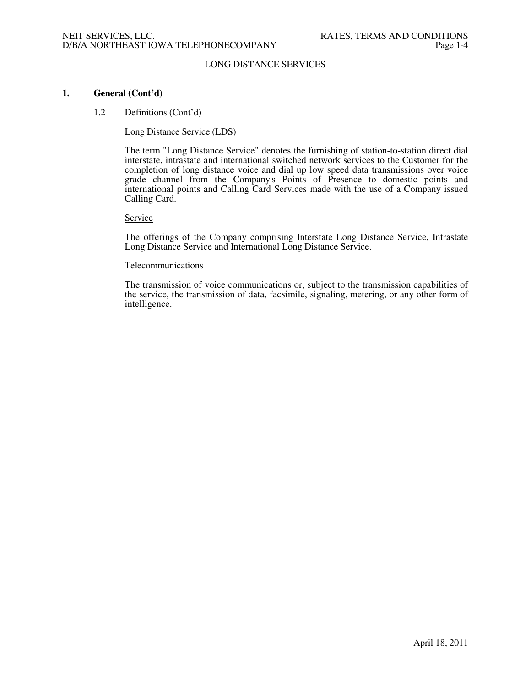## **1. General (Cont'd)**

#### 1.2 Definitions (Cont'd)

#### Long Distance Service (LDS)

The term "Long Distance Service" denotes the furnishing of station-to-station direct dial interstate, intrastate and international switched network services to the Customer for the completion of long distance voice and dial up low speed data transmissions over voice grade channel from the Company's Points of Presence to domestic points and international points and Calling Card Services made with the use of a Company issued Calling Card.

#### **Service**

The offerings of the Company comprising Interstate Long Distance Service, Intrastate Long Distance Service and International Long Distance Service.

#### Telecommunications

The transmission of voice communications or, subject to the transmission capabilities of the service, the transmission of data, facsimile, signaling, metering, or any other form of intelligence.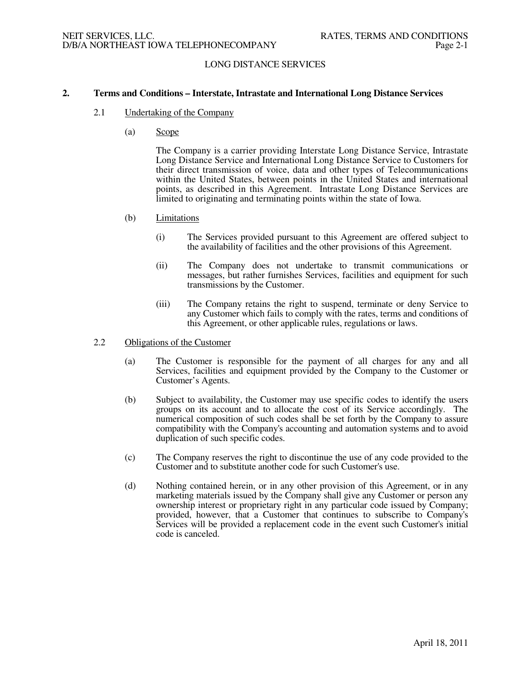### **2. Terms and Conditions – Interstate, Intrastate and International Long Distance Services**

- 2.1 Undertaking of the Company
	- (a) Scope

 The Company is a carrier providing Interstate Long Distance Service, Intrastate Long Distance Service and International Long Distance Service to Customers for their direct transmission of voice, data and other types of Telecommunications within the United States, between points in the United States and international points, as described in this Agreement. Intrastate Long Distance Services are limited to originating and terminating points within the state of Iowa.

#### (b) Limitations

- (i) The Services provided pursuant to this Agreement are offered subject to the availability of facilities and the other provisions of this Agreement.
- (ii) The Company does not undertake to transmit communications or messages, but rather furnishes Services, facilities and equipment for such transmissions by the Customer.
- (iii) The Company retains the right to suspend, terminate or deny Service to any Customer which fails to comply with the rates, terms and conditions of this Agreement, or other applicable rules, regulations or laws.

#### 2.2 Obligations of the Customer

- (a) The Customer is responsible for the payment of all charges for any and all Services, facilities and equipment provided by the Company to the Customer or Customer's Agents.
- (b) Subject to availability, the Customer may use specific codes to identify the users groups on its account and to allocate the cost of its Service accordingly. The numerical composition of such codes shall be set forth by the Company to assure compatibility with the Company's accounting and automation systems and to avoid duplication of such specific codes.
- (c) The Company reserves the right to discontinue the use of any code provided to the Customer and to substitute another code for such Customer's use.
- (d) Nothing contained herein, or in any other provision of this Agreement, or in any marketing materials issued by the Company shall give any Customer or person any ownership interest or proprietary right in any particular code issued by Company; provided, however, that a Customer that continues to subscribe to Company's Services will be provided a replacement code in the event such Customer's initial code is canceled.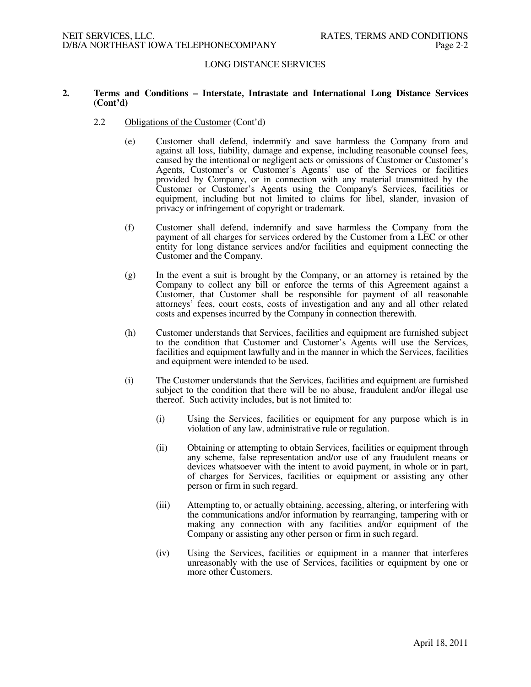### **2. Terms and Conditions – Interstate, Intrastate and International Long Distance Services (Cont'd)**

- 2.2 Obligations of the Customer (Cont'd)
	- (e) Customer shall defend, indemnify and save harmless the Company from and against all loss, liability, damage and expense, including reasonable counsel fees, caused by the intentional or negligent acts or omissions of Customer or Customer's Agents, Customer's or Customer's Agents' use of the Services or facilities provided by Company, or in connection with any material transmitted by the Customer or Customer's Agents using the Company's Services, facilities or equipment, including but not limited to claims for libel, slander, invasion of privacy or infringement of copyright or trademark.
	- (f) Customer shall defend, indemnify and save harmless the Company from the payment of all charges for services ordered by the Customer from a LEC or other entity for long distance services and/or facilities and equipment connecting the Customer and the Company.
	- (g) In the event a suit is brought by the Company, or an attorney is retained by the Company to collect any bill or enforce the terms of this Agreement against a Customer, that Customer shall be responsible for payment of all reasonable attorneys' fees, court costs, costs of investigation and any and all other related costs and expenses incurred by the Company in connection therewith.
	- (h) Customer understands that Services, facilities and equipment are furnished subject to the condition that Customer and Customer's Agents will use the Services, facilities and equipment lawfully and in the manner in which the Services, facilities and equipment were intended to be used.
	- (i) The Customer understands that the Services, facilities and equipment are furnished subject to the condition that there will be no abuse, fraudulent and/or illegal use thereof. Such activity includes, but is not limited to:
		- (i) Using the Services, facilities or equipment for any purpose which is in violation of any law, administrative rule or regulation.
		- (ii) Obtaining or attempting to obtain Services, facilities or equipment through any scheme, false representation and/or use of any fraudulent means or devices whatsoever with the intent to avoid payment, in whole or in part, of charges for Services, facilities or equipment or assisting any other person or firm in such regard.
		- (iii) Attempting to, or actually obtaining, accessing, altering, or interfering with the communications and/or information by rearranging, tampering with or making any connection with any facilities and/or equipment of the Company or assisting any other person or firm in such regard.
		- (iv) Using the Services, facilities or equipment in a manner that interferes unreasonably with the use of Services, facilities or equipment by one or more other Customers.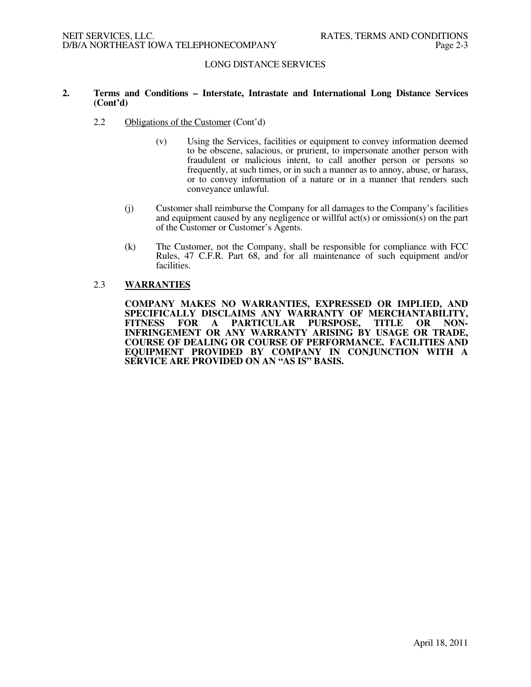## **2. Terms and Conditions – Interstate, Intrastate and International Long Distance Services (Cont'd)**

- 2.2 Obligations of the Customer (Cont'd)
	- (v) Using the Services, facilities or equipment to convey information deemed to be obscene, salacious, or prurient, to impersonate another person with fraudulent or malicious intent, to call another person or persons so frequently, at such times, or in such a manner as to annoy, abuse, or harass, or to convey information of a nature or in a manner that renders such conveyance unlawful.
	- (j) Customer shall reimburse the Company for all damages to the Company's facilities and equipment caused by any negligence or willful act(s) or omission(s) on the part of the Customer or Customer's Agents.
	- (k) The Customer, not the Company, shall be responsible for compliance with FCC Rules, 47 C.F.R. Part 68, and for all maintenance of such equipment and/or facilities.

#### 2.3 **WARRANTIES**

 **COMPANY MAKES NO WARRANTIES, EXPRESSED OR IMPLIED, AND SPECIFICALLY DISCLAIMS ANY WARRANTY OF MERCHANTABILITY, FARTICULAR PURSPOSE, INFRINGEMENT OR ANY WARRANTY ARISING BY USAGE OR TRADE, COURSE OF DEALING OR COURSE OF PERFORMANCE. FACILITIES AND EQUIPMENT PROVIDED BY COMPANY IN CONJUNCTION WITH A SERVICE ARE PROVIDED ON AN "AS IS" BASIS.**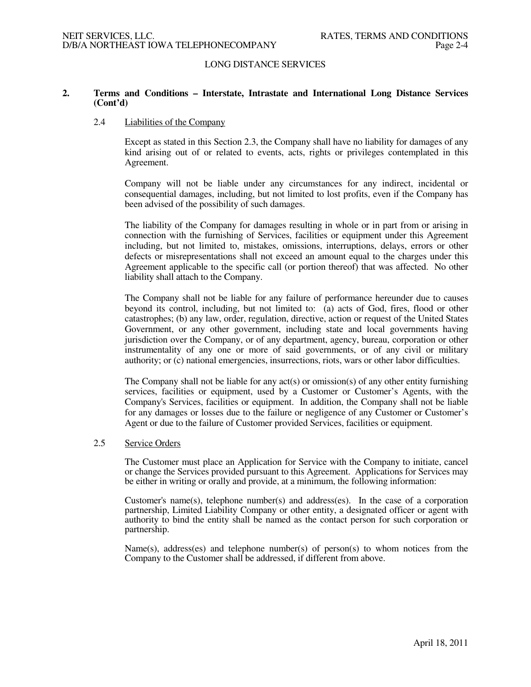## **2. Terms and Conditions – Interstate, Intrastate and International Long Distance Services (Cont'd)**

### 2.4 Liabilities of the Company

Except as stated in this Section 2.3, the Company shall have no liability for damages of any kind arising out of or related to events, acts, rights or privileges contemplated in this Agreement.

Company will not be liable under any circumstances for any indirect, incidental or consequential damages, including, but not limited to lost profits, even if the Company has been advised of the possibility of such damages.

The liability of the Company for damages resulting in whole or in part from or arising in connection with the furnishing of Services, facilities or equipment under this Agreement including, but not limited to, mistakes, omissions, interruptions, delays, errors or other defects or misrepresentations shall not exceed an amount equal to the charges under this Agreement applicable to the specific call (or portion thereof) that was affected. No other liability shall attach to the Company.

The Company shall not be liable for any failure of performance hereunder due to causes beyond its control, including, but not limited to: (a) acts of God, fires, flood or other catastrophes; (b) any law, order, regulation, directive, action or request of the United States Government, or any other government, including state and local governments having jurisdiction over the Company, or of any department, agency, bureau, corporation or other instrumentality of any one or more of said governments, or of any civil or military authority; or (c) national emergencies, insurrections, riots, wars or other labor difficulties.

The Company shall not be liable for any act(s) or omission(s) of any other entity furnishing services, facilities or equipment, used by a Customer or Customer's Agents, with the Company's Services, facilities or equipment. In addition, the Company shall not be liable for any damages or losses due to the failure or negligence of any Customer or Customer's Agent or due to the failure of Customer provided Services, facilities or equipment.

### 2.5 Service Orders

The Customer must place an Application for Service with the Company to initiate, cancel or change the Services provided pursuant to this Agreement. Applications for Services may be either in writing or orally and provide, at a minimum, the following information:

Customer's name(s), telephone number(s) and address(es). In the case of a corporation partnership, Limited Liability Company or other entity, a designated officer or agent with authority to bind the entity shall be named as the contact person for such corporation or partnership.

Name(s), address(es) and telephone number(s) of person(s) to whom notices from the Company to the Customer shall be addressed, if different from above.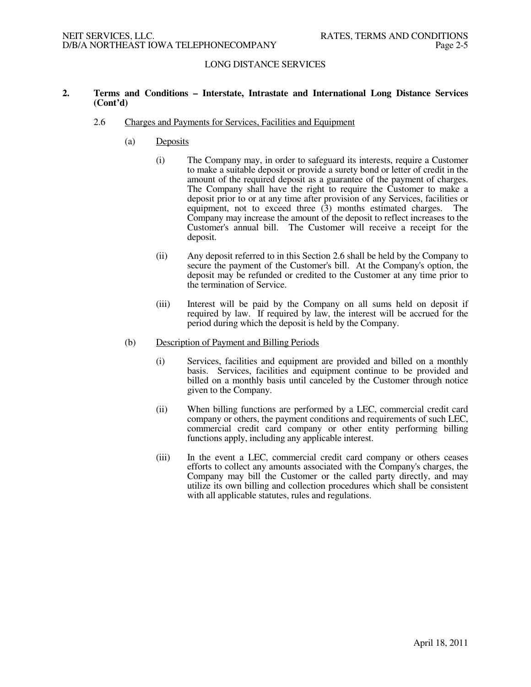## **2. Terms and Conditions – Interstate, Intrastate and International Long Distance Services (Cont'd)**

### 2.6 Charges and Payments for Services, Facilities and Equipment

- (a) Deposits
	- (i) The Company may, in order to safeguard its interests, require a Customer to make a suitable deposit or provide a surety bond or letter of credit in the amount of the required deposit as a guarantee of the payment of charges. The Company shall have the right to require the Customer to make a deposit prior to or at any time after provision of any Services, facilities or equipment, not to exceed three (3) months estimated charges. The Company may increase the amount of the deposit to reflect increases to the Customer's annual bill. The Customer will receive a receipt for the deposit.
	- (ii) Any deposit referred to in this Section 2.6 shall be held by the Company to secure the payment of the Customer's bill. At the Company's option, the deposit may be refunded or credited to the Customer at any time prior to the termination of Service.
	- (iii) Interest will be paid by the Company on all sums held on deposit if required by law. If required by law, the interest will be accrued for the period during which the deposit is held by the Company.
- (b) Description of Payment and Billing Periods
	- (i) Services, facilities and equipment are provided and billed on a monthly basis. Services, facilities and equipment continue to be provided and billed on a monthly basis until canceled by the Customer through notice given to the Company.
	- (ii) When billing functions are performed by a LEC, commercial credit card company or others, the payment conditions and requirements of such LEC, commercial credit card company or other entity performing billing functions apply, including any applicable interest.
	- (iii) In the event a LEC, commercial credit card company or others ceases efforts to collect any amounts associated with the Company's charges, the Company may bill the Customer or the called party directly, and may utilize its own billing and collection procedures which shall be consistent with all applicable statutes, rules and regulations.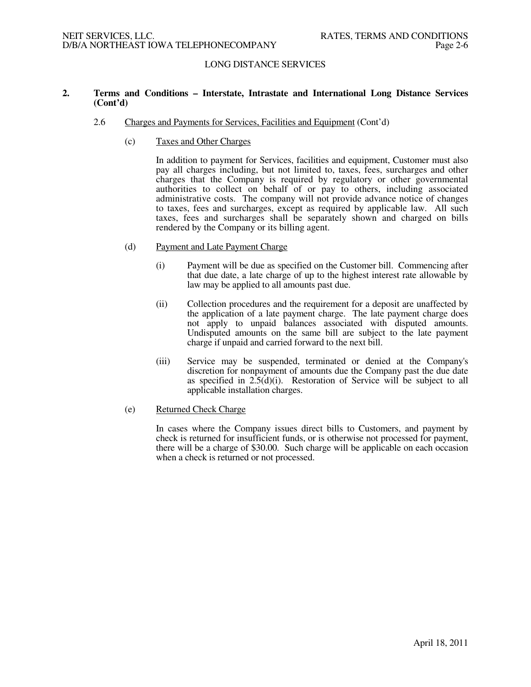## **2. Terms and Conditions – Interstate, Intrastate and International Long Distance Services (Cont'd)**

- 2.6 Charges and Payments for Services, Facilities and Equipment (Cont'd)
	- (c) Taxes and Other Charges

In addition to payment for Services, facilities and equipment, Customer must also pay all charges including, but not limited to, taxes, fees, surcharges and other charges that the Company is required by regulatory or other governmental authorities to collect on behalf of or pay to others, including associated administrative costs. The company will not provide advance notice of changes to taxes, fees and surcharges, except as required by applicable law. All such taxes, fees and surcharges shall be separately shown and charged on bills rendered by the Company or its billing agent.

- (d) Payment and Late Payment Charge
	- (i) Payment will be due as specified on the Customer bill. Commencing after that due date, a late charge of up to the highest interest rate allowable by law may be applied to all amounts past due.
	- (ii) Collection procedures and the requirement for a deposit are unaffected by the application of a late payment charge. The late payment charge does not apply to unpaid balances associated with disputed amounts. Undisputed amounts on the same bill are subject to the late payment charge if unpaid and carried forward to the next bill.
	- (iii) Service may be suspended, terminated or denied at the Company's discretion for nonpayment of amounts due the Company past the due date as specified in 2.5(d)(i). Restoration of Service will be subject to all applicable installation charges.
- (e) Returned Check Charge

In cases where the Company issues direct bills to Customers, and payment by check is returned for insufficient funds, or is otherwise not processed for payment, there will be a charge of \$30.00. Such charge will be applicable on each occasion when a check is returned or not processed.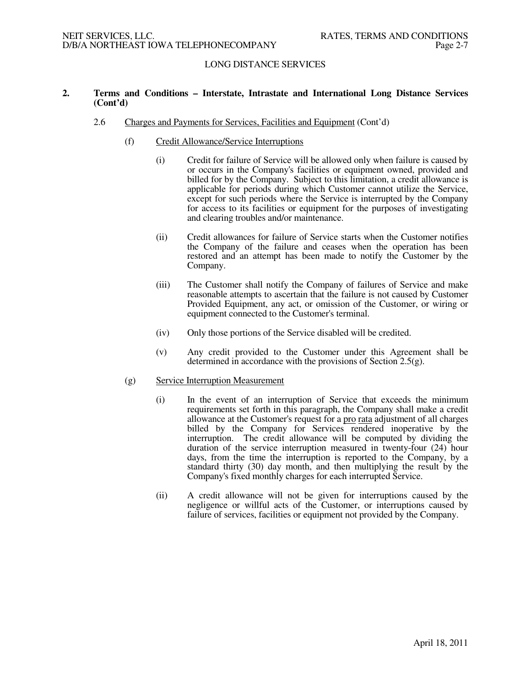## **2. Terms and Conditions – Interstate, Intrastate and International Long Distance Services (Cont'd)**

- 2.6 Charges and Payments for Services, Facilities and Equipment (Cont'd)
	- (f) Credit Allowance/Service Interruptions
		- (i) Credit for failure of Service will be allowed only when failure is caused by or occurs in the Company's facilities or equipment owned, provided and billed for by the Company. Subject to this limitation, a credit allowance is applicable for periods during which Customer cannot utilize the Service, except for such periods where the Service is interrupted by the Company for access to its facilities or equipment for the purposes of investigating and clearing troubles and/or maintenance.
		- (ii) Credit allowances for failure of Service starts when the Customer notifies the Company of the failure and ceases when the operation has been restored and an attempt has been made to notify the Customer by the Company.
		- (iii) The Customer shall notify the Company of failures of Service and make reasonable attempts to ascertain that the failure is not caused by Customer Provided Equipment, any act, or omission of the Customer, or wiring or equipment connected to the Customer's terminal.
		- (iv) Only those portions of the Service disabled will be credited.
		- (v) Any credit provided to the Customer under this Agreement shall be determined in accordance with the provisions of Section 2.5(g).

#### (g) Service Interruption Measurement

- (i) In the event of an interruption of Service that exceeds the minimum requirements set forth in this paragraph, the Company shall make a credit allowance at the Customer's request for a pro rata adjustment of all charges billed by the Company for Services rendered inoperative by the interruption. The credit allowance will be computed by dividing the duration of the service interruption measured in twenty-four (24) hour days, from the time the interruption is reported to the Company, by a standard thirty (30) day month, and then multiplying the result by the Company's fixed monthly charges for each interrupted Service.
- (ii) A credit allowance will not be given for interruptions caused by the negligence or willful acts of the Customer, or interruptions caused by failure of services, facilities or equipment not provided by the Company.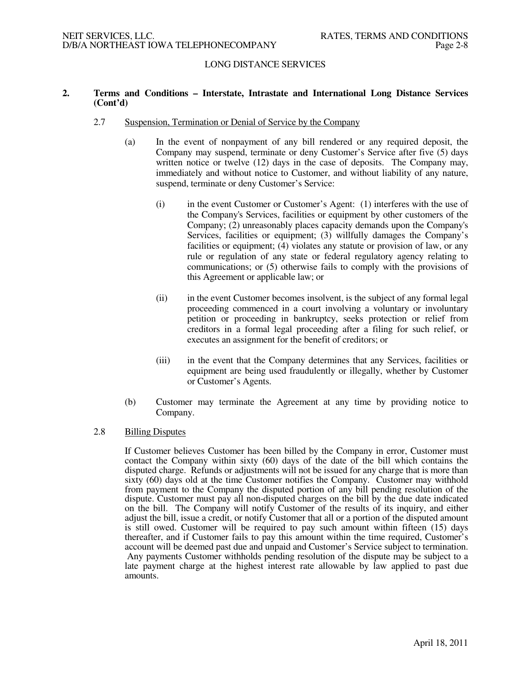## **2. Terms and Conditions – Interstate, Intrastate and International Long Distance Services (Cont'd)**

- 2.7 Suspension, Termination or Denial of Service by the Company
	- (a) In the event of nonpayment of any bill rendered or any required deposit, the Company may suspend, terminate or deny Customer's Service after five (5) days written notice or twelve (12) days in the case of deposits. The Company may, immediately and without notice to Customer, and without liability of any nature, suspend, terminate or deny Customer's Service:
		- (i) in the event Customer or Customer's Agent: (1) interferes with the use of the Company's Services, facilities or equipment by other customers of the Company; (2) unreasonably places capacity demands upon the Company's Services, facilities or equipment; (3) willfully damages the Company's facilities or equipment; (4) violates any statute or provision of law, or any rule or regulation of any state or federal regulatory agency relating to communications; or (5) otherwise fails to comply with the provisions of this Agreement or applicable law; or
		- (ii) in the event Customer becomes insolvent, is the subject of any formal legal proceeding commenced in a court involving a voluntary or involuntary petition or proceeding in bankruptcy, seeks protection or relief from creditors in a formal legal proceeding after a filing for such relief, or executes an assignment for the benefit of creditors; or
		- (iii) in the event that the Company determines that any Services, facilities or equipment are being used fraudulently or illegally, whether by Customer or Customer's Agents.
	- (b) Customer may terminate the Agreement at any time by providing notice to Company.

## 2.8 Billing Disputes

If Customer believes Customer has been billed by the Company in error, Customer must contact the Company within sixty (60) days of the date of the bill which contains the disputed charge. Refunds or adjustments will not be issued for any charge that is more than sixty (60) days old at the time Customer notifies the Company. Customer may withhold from payment to the Company the disputed portion of any bill pending resolution of the dispute. Customer must pay all non-disputed charges on the bill by the due date indicated on the bill. The Company will notify Customer of the results of its inquiry, and either adjust the bill, issue a credit, or notify Customer that all or a portion of the disputed amount is still owed. Customer will be required to pay such amount within fifteen (15) days thereafter, and if Customer fails to pay this amount within the time required, Customer's account will be deemed past due and unpaid and Customer's Service subject to termination. Any payments Customer withholds pending resolution of the dispute may be subject to a late payment charge at the highest interest rate allowable by law applied to past due amounts.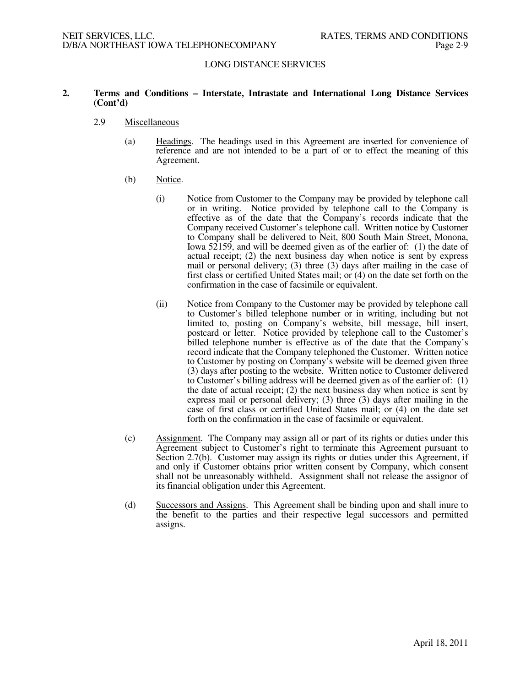## **2. Terms and Conditions – Interstate, Intrastate and International Long Distance Services (Cont'd)**

### 2.9 Miscellaneous

- (a) Headings. The headings used in this Agreement are inserted for convenience of reference and are not intended to be a part of or to effect the meaning of this Agreement.
- (b) Notice.
	- (i) Notice from Customer to the Company may be provided by telephone call or in writing. Notice provided by telephone call to the Company is effective as of the date that the Company's records indicate that the Company received Customer's telephone call. Written notice by Customer to Company shall be delivered to Neit, 800 South Main Street, Monona, Iowa 52159, and will be deemed given as of the earlier of: (1) the date of actual receipt; (2) the next business day when notice is sent by express mail or personal delivery; (3) three (3) days after mailing in the case of first class or certified United States mail; or (4) on the date set forth on the confirmation in the case of facsimile or equivalent.
	- (ii) Notice from Company to the Customer may be provided by telephone call to Customer's billed telephone number or in writing, including but not limited to, posting on Company's website, bill message, bill insert, postcard or letter. Notice provided by telephone call to the Customer's billed telephone number is effective as of the date that the Company's record indicate that the Company telephoned the Customer. Written notice to Customer by posting on Company's website will be deemed given three (3) days after posting to the website. Written notice to Customer delivered to Customer's billing address will be deemed given as of the earlier of: (1) the date of actual receipt; (2) the next business day when notice is sent by express mail or personal delivery; (3) three (3) days after mailing in the case of first class or certified United States mail; or (4) on the date set forth on the confirmation in the case of facsimile or equivalent.
- (c) Assignment. The Company may assign all or part of its rights or duties under this Agreement subject to Customer's right to terminate this Agreement pursuant to Section 2.7(b). Customer may assign its rights or duties under this Agreement, if and only if Customer obtains prior written consent by Company, which consent shall not be unreasonably withheld. Assignment shall not release the assignor of its financial obligation under this Agreement.
- (d) Successors and Assigns. This Agreement shall be binding upon and shall inure to the benefit to the parties and their respective legal successors and permitted assigns.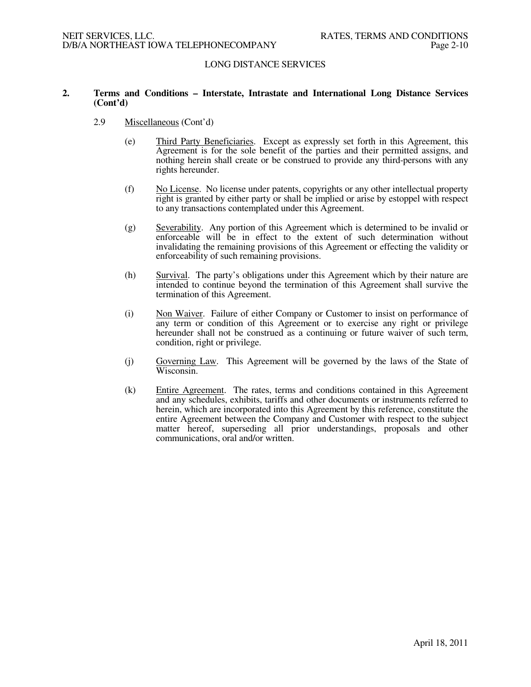## **2. Terms and Conditions – Interstate, Intrastate and International Long Distance Services (Cont'd)**

- 2.9 Miscellaneous (Cont'd)
	- (e) Third Party Beneficiaries. Except as expressly set forth in this Agreement, this Agreement is for the sole benefit of the parties and their permitted assigns, and nothing herein shall create or be construed to provide any third-persons with any rights hereunder.
	- (f) No License. No license under patents, copyrights or any other intellectual property right is granted by either party or shall be implied or arise by estoppel with respect to any transactions contemplated under this Agreement.
	- (g) Severability. Any portion of this Agreement which is determined to be invalid or enforceable will be in effect to the extent of such determination without invalidating the remaining provisions of this Agreement or effecting the validity or enforceability of such remaining provisions.
	- (h) Survival. The party's obligations under this Agreement which by their nature are intended to continue beyond the termination of this Agreement shall survive the termination of this Agreement.
	- (i) Non Waiver. Failure of either Company or Customer to insist on performance of any term or condition of this Agreement or to exercise any right or privilege hereunder shall not be construed as a continuing or future waiver of such term, condition, right or privilege.
	- (j) Governing Law. This Agreement will be governed by the laws of the State of Wisconsin.
	- (k) Entire Agreement. The rates, terms and conditions contained in this Agreement and any schedules, exhibits, tariffs and other documents or instruments referred to herein, which are incorporated into this Agreement by this reference, constitute the entire Agreement between the Company and Customer with respect to the subject matter hereof, superseding all prior understandings, proposals and other communications, oral and/or written.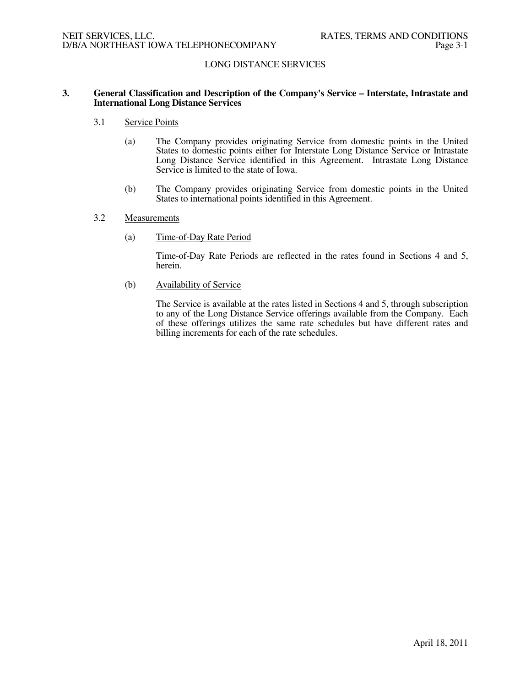## **3. General Classification and Description of the Company's Service – Interstate, Intrastate and International Long Distance Services**

- 3.1 Service Points
	- (a) The Company provides originating Service from domestic points in the United States to domestic points either for Interstate Long Distance Service or Intrastate Long Distance Service identified in this Agreement. Intrastate Long Distance Service is limited to the state of Iowa.
	- (b) The Company provides originating Service from domestic points in the United States to international points identified in this Agreement.

#### 3.2 Measurements

(a) Time-of-Day Rate Period

 Time-of-Day Rate Periods are reflected in the rates found in Sections 4 and 5, herein.

(b) Availability of Service

The Service is available at the rates listed in Sections 4 and 5, through subscription to any of the Long Distance Service offerings available from the Company. Each of these offerings utilizes the same rate schedules but have different rates and billing increments for each of the rate schedules.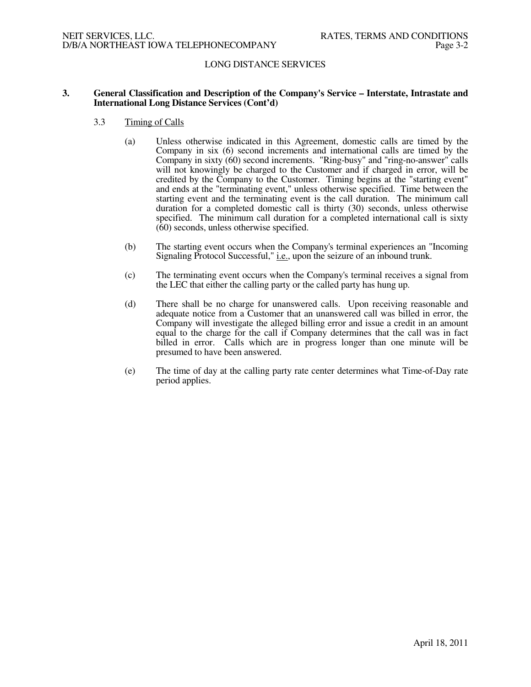## **3. General Classification and Description of the Company's Service – Interstate, Intrastate and International Long Distance Services (Cont'd)**

### 3.3 Timing of Calls

- (a) Unless otherwise indicated in this Agreement, domestic calls are timed by the Company in six (6) second increments and international calls are timed by the Company in sixty (60) second increments. "Ring-busy" and "ring-no-answer" calls will not knowingly be charged to the Customer and if charged in error, will be credited by the Company to the Customer. Timing begins at the "starting event" and ends at the "terminating event," unless otherwise specified. Time between the starting event and the terminating event is the call duration. The minimum call duration for a completed domestic call is thirty (30) seconds, unless otherwise specified. The minimum call duration for a completed international call is sixty (60) seconds, unless otherwise specified.
- (b) The starting event occurs when the Company's terminal experiences an "Incoming Signaling Protocol Successful," i.e., upon the seizure of an inbound trunk.
- (c) The terminating event occurs when the Company's terminal receives a signal from the LEC that either the calling party or the called party has hung up.
- (d) There shall be no charge for unanswered calls. Upon receiving reasonable and adequate notice from a Customer that an unanswered call was billed in error, the Company will investigate the alleged billing error and issue a credit in an amount equal to the charge for the call if Company determines that the call was in fact billed in error. Calls which are in progress longer than one minute will be presumed to have been answered.
- (e) The time of day at the calling party rate center determines what Time-of-Day rate period applies.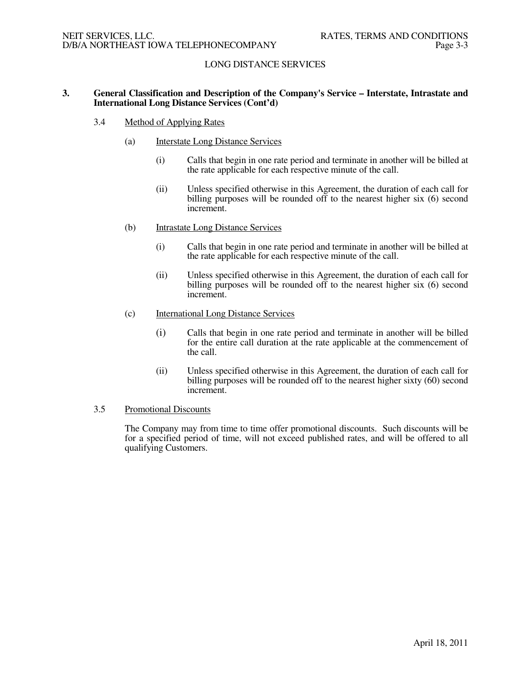## **3. General Classification and Description of the Company's Service – Interstate, Intrastate and International Long Distance Services (Cont'd)**

### 3.4 Method of Applying Rates

- (a) Interstate Long Distance Services
	- (i) Calls that begin in one rate period and terminate in another will be billed at the rate applicable for each respective minute of the call.
	- (ii) Unless specified otherwise in this Agreement, the duration of each call for billing purposes will be rounded off to the nearest higher six (6) second increment.
- (b) Intrastate Long Distance Services
	- (i) Calls that begin in one rate period and terminate in another will be billed at the rate applicable for each respective minute of the call.
	- (ii) Unless specified otherwise in this Agreement, the duration of each call for billing purposes will be rounded off to the nearest higher six (6) second increment.
- (c) International Long Distance Services
	- (i) Calls that begin in one rate period and terminate in another will be billed for the entire call duration at the rate applicable at the commencement of the call.
	- (ii) Unless specified otherwise in this Agreement, the duration of each call for billing purposes will be rounded off to the nearest higher sixty (60) second increment.

## 3.5 Promotional Discounts

 The Company may from time to time offer promotional discounts. Such discounts will be for a specified period of time, will not exceed published rates, and will be offered to all qualifying Customers.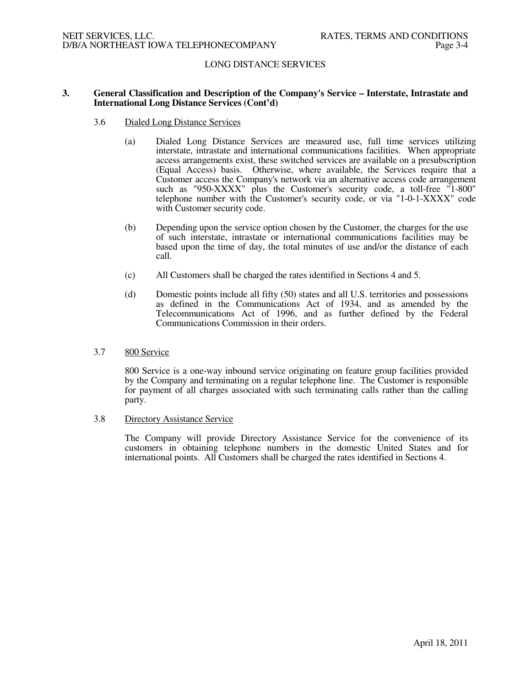### **3. General Classification and Description of the Company's Service – Interstate, Intrastate and International Long Distance Services (Cont'd)**

- 3.6 Dialed Long Distance Services
	- (a) Dialed Long Distance Services are measured use, full time services utilizing interstate, intrastate and international communications facilities. When appropriate access arrangements exist, these switched services are available on a presubscription (Equal Access) basis. Otherwise, where available, the Services require that a Customer access the Company's network via an alternative access code arrangement such as "950-XXXX" plus the Customer's security code, a toll-free "1-800" telephone number with the Customer's security code, or via "1-0-1-XXXX" code with Customer security code.
	- (b) Depending upon the service option chosen by the Customer, the charges for the use of such interstate, intrastate or international communications facilities may be based upon the time of day, the total minutes of use and/or the distance of each call.
	- (c) All Customers shall be charged the rates identified in Sections 4 and 5.
	- (d) Domestic points include all fifty (50) states and all U.S. territories and possessions as defined in the Communications Act of 1934, and as amended by the Telecommunications Act of 1996, and as further defined by the Federal Communications Commission in their orders.

#### 3.7 800 Service

800 Service is a one-way inbound service originating on feature group facilities provided by the Company and terminating on a regular telephone line. The Customer is responsible for payment of all charges associated with such terminating calls rather than the calling party.

3.8 Directory Assistance Service

The Company will provide Directory Assistance Service for the convenience of its customers in obtaining telephone numbers in the domestic United States and for international points. All Customers shall be charged the rates identified in Sections 4.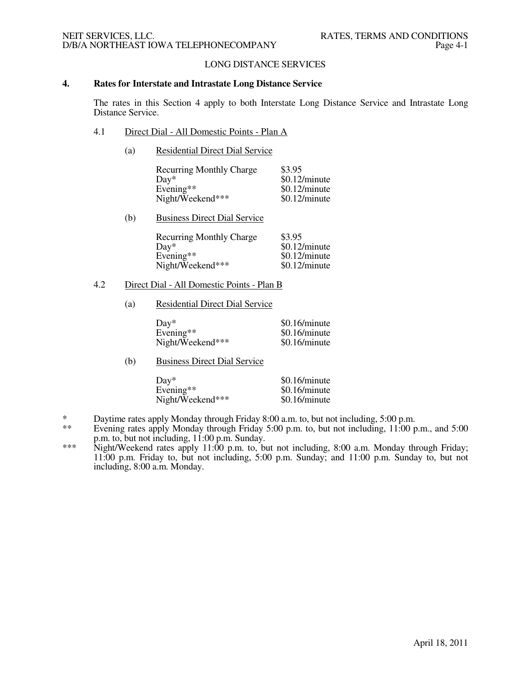## LONG DISTANCE SERVICES

## **4. Rates for Interstate and Intrastate Long Distance Service**

The rates in this Section 4 apply to both Interstate Long Distance Service and Intrastate Long Distance Service.

- 4.1 Direct Dial All Domestic Points Plan A
	- (a) Residential Direct Dial Service

| <b>Recurring Monthly Charge</b> | \$3.95          |
|---------------------------------|-----------------|
| $Dav^*$                         | $$0.12/m$ inute |
| Evening**                       | $$0.12/m$ inute |
| Night/Weekend***                | $$0.12/m$ inute |

(b) Business Direct Dial Service

| <b>Recurring Monthly Charge</b> | \$3.95          |
|---------------------------------|-----------------|
| $Dav^*$                         | $$0.12/m$ inute |
| Evening $**$                    | $$0.12/m$ inute |
| Night/Weekend***                | $$0.12/m$ inute |

#### 4.2 Direct Dial - All Domestic Points - Plan B

(a) Residential Direct Dial Service

| $\text{Dav}^*$   | $$0.16/m$ inute |
|------------------|-----------------|
| Evening**        | \$0.16/minute   |
| Night/Weekend*** | \$0.16/minute   |

(b) Business Direct Dial Service

| Dav*             | \$0.16/minute |
|------------------|---------------|
| Evening**        | \$0.16/minute |
| Night/Weekend*** | \$0.16/minute |

- \* Daytime rates apply Monday through Friday 8:00 a.m. to, but not including, 5:00 p.m.<br>\*\* Evening rates apply Monday through Friday 5:00 p.m. to, but not including, 11:00 p.
- Evening rates apply Monday through Friday 5:00 p.m. to, but not including, 11:00 p.m., and 5:00 p.m. to, but not including, 11:00 p.m. Sunday.
- \*\*\* Night/Weekend rates apply 11:00 p.m. to, but not including, 8:00 a.m. Monday through Friday; 11:00 p.m. Friday to, but not including, 5:00 p.m. Sunday; and 11:00 p.m. Sunday to, but not including, 8:00 a.m. Monday.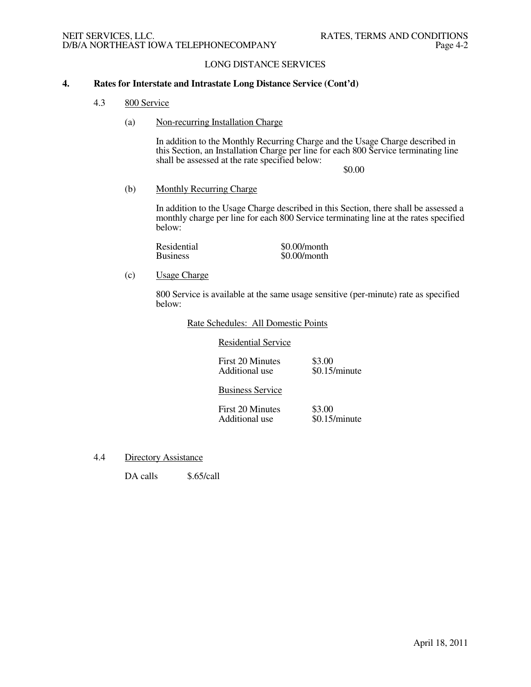## **4. Rates for Interstate and Intrastate Long Distance Service (Cont'd)**

- 4.3 800 Service
	- (a) Non-recurring Installation Charge

 In addition to the Monthly Recurring Charge and the Usage Charge described in this Section, an Installation Charge per line for each 800 Service terminating line shall be assessed at the rate specified below:

\$0.00

(b) Monthly Recurring Charge

 In addition to the Usage Charge described in this Section, there shall be assessed a monthly charge per line for each 800 Service terminating line at the rates specified below:

Residential  $$0.00/m$ onth<br>Business  $$0.00/m$ onth  $$0.00/m$ onth

(c) Usage Charge

 800 Service is available at the same usage sensitive (per-minute) rate as specified below:

#### Rate Schedules: All Domestic Points

Residential Service

| First 20 Minutes | \$3.00          |
|------------------|-----------------|
| Additional use   | $$0.15/m$ inute |

#### Business Service

First 20 Minutes \$3.00<br>Additional use \$0.15/minute Additional use

4.4 Directory Assistance

DA calls \$.65/call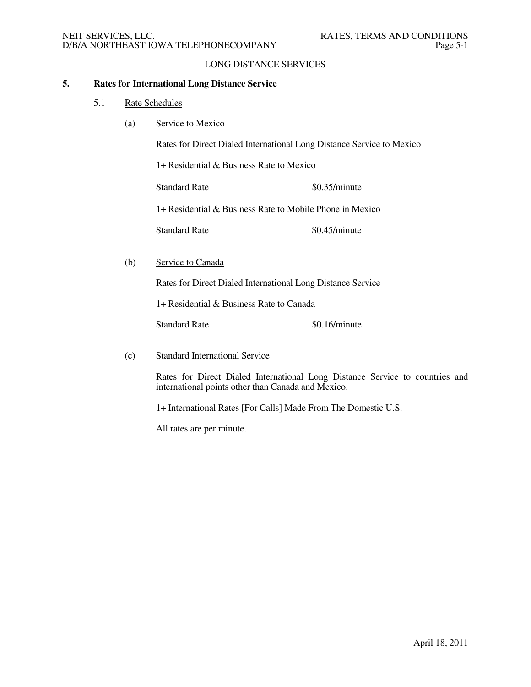## **5. Rates for International Long Distance Service**

- 5.1 Rate Schedules
	- (a) Service to Mexico

Rates for Direct Dialed International Long Distance Service to Mexico

1+ Residential & Business Rate to Mexico

Standard Rate \$0.35/minute

1+ Residential & Business Rate to Mobile Phone in Mexico

Standard Rate \$0.45/minute

(b) Service to Canada

Rates for Direct Dialed International Long Distance Service

1+ Residential & Business Rate to Canada

Standard Rate \$0.16/minute

(c) Standard International Service

Rates for Direct Dialed International Long Distance Service to countries and international points other than Canada and Mexico.

1+ International Rates [For Calls] Made From The Domestic U.S.

All rates are per minute.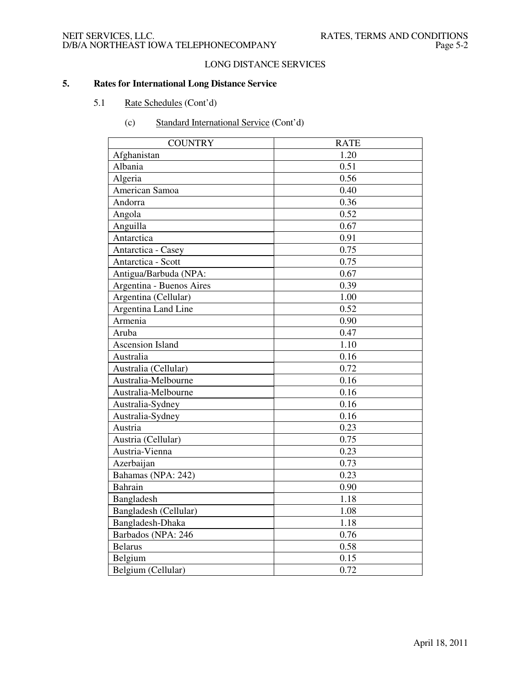## NEIT SERVICES, LLC. THE RATES, TERMS AND CONDITIONS D/B/A NORTHEAST IOWA TELEPHONECOMPANY FRAGALLY Page 5-2

# LONG DISTANCE SERVICES

# **5. Rates for International Long Distance Service**

# 5.1 Rate Schedules (Cont'd)

| <b>COUNTRY</b>           | <b>RATE</b> |
|--------------------------|-------------|
| Afghanistan              | 1.20        |
| Albania                  | 0.51        |
| Algeria                  | 0.56        |
| American Samoa           | 0.40        |
| Andorra                  | 0.36        |
| Angola                   | 0.52        |
| Anguilla                 | 0.67        |
| Antarctica               | 0.91        |
| Antarctica - Casey       | 0.75        |
| Antarctica - Scott       | 0.75        |
| Antigua/Barbuda (NPA:    | 0.67        |
| Argentina - Buenos Aires | 0.39        |
| Argentina (Cellular)     | 1.00        |
| Argentina Land Line      | 0.52        |
| Armenia                  | 0.90        |
| Aruba                    | 0.47        |
| <b>Ascension Island</b>  | 1.10        |
| Australia                | 0.16        |
| Australia (Cellular)     | 0.72        |
| Australia-Melbourne      | 0.16        |
| Australia-Melbourne      | 0.16        |
| Australia-Sydney         | 0.16        |
| Australia-Sydney         | 0.16        |
| Austria                  | 0.23        |
| Austria (Cellular)       | 0.75        |
| Austria-Vienna           | 0.23        |
| Azerbaijan               | 0.73        |
| Bahamas (NPA: 242)       | 0.23        |
| Bahrain                  | 0.90        |
| Bangladesh               | 1.18        |
| Bangladesh (Cellular)    | 1.08        |
| Bangladesh-Dhaka         | 1.18        |
| Barbados (NPA: 246       | 0.76        |
| <b>Belarus</b>           | 0.58        |
| Belgium                  | 0.15        |
| Belgium (Cellular)       | 0.72        |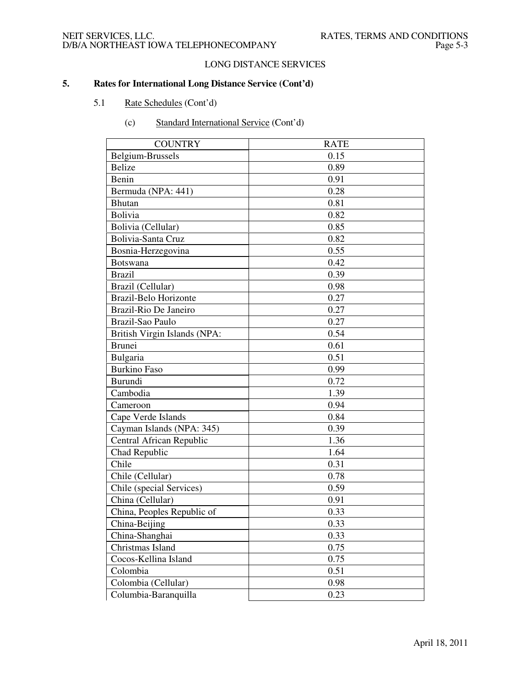# NEIT SERVICES, LLC. <br>D/B/A NORTHEAST IOWA TELEPHONECOMPANY Page 5-3 D/B/A NORTHEAST IOWA TELEPHONECOMPANY

# LONG DISTANCE SERVICES

- 5.1 Rate Schedules (Cont'd)
	- (c) Standard International Service (Cont'd)

| <b>COUNTRY</b>               | <b>RATE</b> |
|------------------------------|-------------|
| Belgium-Brussels             | 0.15        |
| <b>Belize</b>                | 0.89        |
| Benin                        | 0.91        |
| Bermuda (NPA: 441)           | 0.28        |
| <b>Bhutan</b>                | 0.81        |
| <b>Bolivia</b>               | 0.82        |
| Bolivia (Cellular)           | 0.85        |
| Bolivia-Santa Cruz           | 0.82        |
| Bosnia-Herzegovina           | 0.55        |
| <b>Botswana</b>              | 0.42        |
| <b>Brazil</b>                | 0.39        |
| Brazil (Cellular)            | 0.98        |
| <b>Brazil-Belo Horizonte</b> | 0.27        |
| Brazil-Rio De Janeiro        | 0.27        |
| Brazil-Sao Paulo             | 0.27        |
| British Virgin Islands (NPA: | 0.54        |
| <b>Brunei</b>                | 0.61        |
| Bulgaria                     | 0.51        |
| <b>Burkino Faso</b>          | 0.99        |
| Burundi                      | 0.72        |
| Cambodia                     | 1.39        |
| Cameroon                     | 0.94        |
| Cape Verde Islands           | 0.84        |
| Cayman Islands (NPA: 345)    | 0.39        |
| Central African Republic     | 1.36        |
| Chad Republic                | 1.64        |
| Chile                        | 0.31        |
| Chile (Cellular)             | 0.78        |
| Chile (special Services)     | 0.59        |
| China (Cellular)             | 0.91        |
| China, Peoples Republic of   | 0.33        |
| China-Beijing                | 0.33        |
| China-Shanghai               | 0.33        |
| Christmas Island             | 0.75        |
| Cocos-Kellina Island         | 0.75        |
| Colombia                     | 0.51        |
| Colombia (Cellular)          | 0.98        |
| Columbia-Baranquilla         | 0.23        |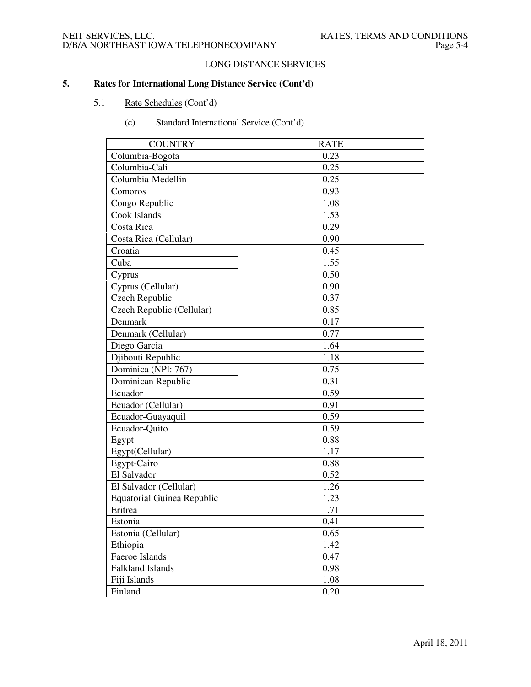# LONG DISTANCE SERVICES

- 5.1 Rate Schedules (Cont'd)
	- (c) Standard International Service (Cont'd)

| <b>COUNTRY</b>                    | <b>RATE</b> |
|-----------------------------------|-------------|
| Columbia-Bogota                   | 0.23        |
| Columbia-Cali                     | 0.25        |
| Columbia-Medellin                 | 0.25        |
| Comoros                           | 0.93        |
| Congo Republic                    | 1.08        |
| Cook Islands                      | 1.53        |
| Costa Rica                        | 0.29        |
| Costa Rica (Cellular)             | 0.90        |
| Croatia                           | 0.45        |
| Cuba                              | 1.55        |
| Cyprus                            | 0.50        |
| Cyprus (Cellular)                 | 0.90        |
| Czech Republic                    | 0.37        |
| Czech Republic (Cellular)         | 0.85        |
| Denmark                           | 0.17        |
| Denmark (Cellular)                | 0.77        |
| Diego Garcia                      | 1.64        |
| Diibouti Republic                 | 1.18        |
| Dominica (NPI: 767)               | 0.75        |
| Dominican Republic                | 0.31        |
| Ecuador                           | 0.59        |
| Ecuador (Cellular)                | 0.91        |
| Ecuador-Guayaquil                 | 0.59        |
| Ecuador-Quito                     | 0.59        |
| Egypt                             | 0.88        |
| Egypt(Cellular)                   | 1.17        |
| Egypt-Cairo                       | 0.88        |
| El Salvador                       | 0.52        |
| El Salvador (Cellular)            | 1.26        |
| <b>Equatorial Guinea Republic</b> | 1.23        |
| Eritrea                           | 1.71        |
| Estonia                           | 0.41        |
| Estonia (Cellular)                | 0.65        |
| Ethiopia                          | 1.42        |
| Faeroe Islands                    | 0.47        |
| Falkland Islands                  | 0.98        |
| Fiji Islands                      | 1.08        |
| Finland                           | 0.20        |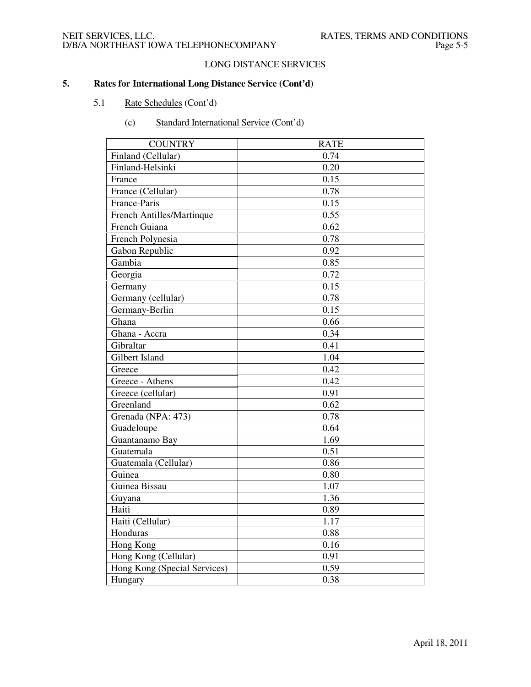# LONG DISTANCE SERVICES

- 5.1 Rate Schedules (Cont'd)
	- (c) Standard International Service (Cont'd)

| <b>COUNTRY</b>               | <b>RATE</b> |
|------------------------------|-------------|
| Finland (Cellular)           | 0.74        |
| Finland-Helsinki             | 0.20        |
| France                       | 0.15        |
| France (Cellular)            | 0.78        |
| France-Paris                 | 0.15        |
| French Antilles/Martinque    | 0.55        |
| French Guiana                | 0.62        |
| French Polynesia             | 0.78        |
| Gabon Republic               | 0.92        |
| Gambia                       | 0.85        |
| Georgia                      | 0.72        |
| Germany                      | 0.15        |
| Germany (cellular)           | 0.78        |
| Germany-Berlin               | 0.15        |
| Ghana                        | 0.66        |
| Ghana - Accra                | 0.34        |
| Gibraltar                    | 0.41        |
| Gilbert Island               | 1.04        |
| Greece                       | 0.42        |
| Greece - Athens              | 0.42        |
| Greece (cellular)            | 0.91        |
| Greenland                    | 0.62        |
| Grenada (NPA: 473)           | 0.78        |
| Guadeloupe                   | 0.64        |
| Guantanamo Bay               | 1.69        |
| Guatemala                    | 0.51        |
| Guatemala (Cellular)         | 0.86        |
| Guinea                       | 0.80        |
| Guinea Bissau                | 1.07        |
| Guyana                       | 1.36        |
| Haiti                        | 0.89        |
| Haiti (Cellular)             | 1.17        |
| Honduras                     | 0.88        |
| Hong Kong                    | 0.16        |
| Hong Kong (Cellular)         | 0.91        |
| Hong Kong (Special Services) | 0.59        |
| Hungary                      | 0.38        |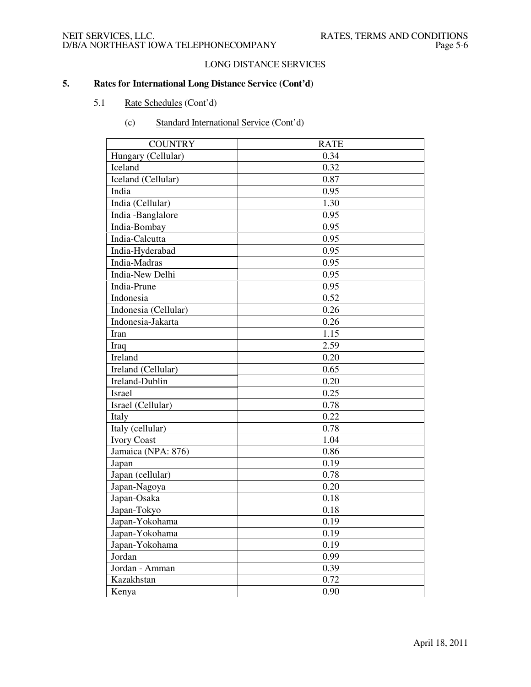# LONG DISTANCE SERVICES

# **5. Rates for International Long Distance Service (Cont'd)**

# 5.1 Rate Schedules (Cont'd)

| <b>COUNTRY</b>       | <b>RATE</b> |
|----------------------|-------------|
| Hungary (Cellular)   | 0.34        |
| Iceland              | 0.32        |
| Iceland (Cellular)   | 0.87        |
| India                | 0.95        |
| India (Cellular)     | 1.30        |
| India -Banglalore    | 0.95        |
| India-Bombay         | 0.95        |
| India-Calcutta       | 0.95        |
| India-Hyderabad      | 0.95        |
| India-Madras         | 0.95        |
| India-New Delhi      | 0.95        |
| India-Prune          | 0.95        |
| Indonesia            | 0.52        |
| Indonesia (Cellular) | 0.26        |
| Indonesia-Jakarta    | 0.26        |
| Iran                 | 1.15        |
| Iraq                 | 2.59        |
| Ireland              | 0.20        |
| Ireland (Cellular)   | 0.65        |
| Ireland-Dublin       | 0.20        |
| Israel               | 0.25        |
| Israel (Cellular)    | 0.78        |
| Italy                | 0.22        |
| Italy (cellular)     | 0.78        |
| <b>Ivory Coast</b>   | 1.04        |
| Jamaica (NPA: 876)   | 0.86        |
| Japan                | 0.19        |
| Japan (cellular)     | 0.78        |
| Japan-Nagoya         | 0.20        |
| Japan-Osaka          | 0.18        |
| Japan-Tokyo          | 0.18        |
| Japan-Yokohama       | 0.19        |
| Japan-Yokohama       | 0.19        |
| Japan-Yokohama       | 0.19        |
| Jordan               | 0.99        |
| Jordan - Amman       | 0.39        |
| Kazakhstan           | 0.72        |
| Kenya                | 0.90        |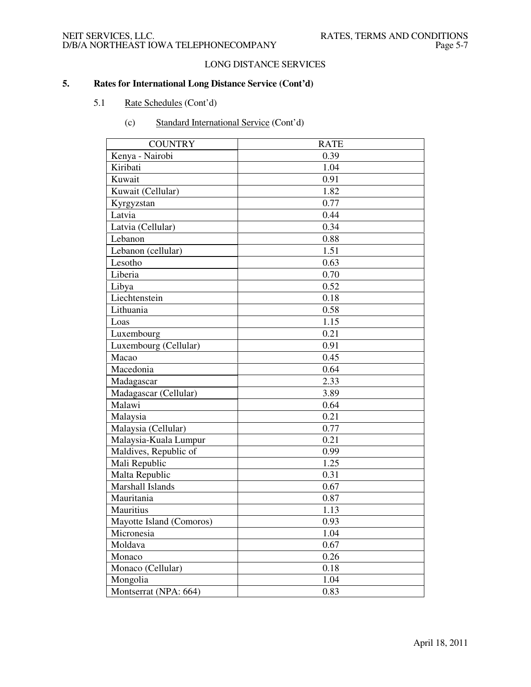# LONG DISTANCE SERVICES

# **5. Rates for International Long Distance Service (Cont'd)**

# 5.1 Rate Schedules (Cont'd)

| <b>COUNTRY</b>           | <b>RATE</b> |
|--------------------------|-------------|
| Kenya - Nairobi          | 0.39        |
| Kiribati                 | 1.04        |
| Kuwait                   | 0.91        |
| Kuwait (Cellular)        | 1.82        |
| Kyrgyzstan               | 0.77        |
| Latvia                   | 0.44        |
| Latvia (Cellular)        | 0.34        |
| Lebanon                  | 0.88        |
| Lebanon (cellular)       | 1.51        |
| Lesotho                  | 0.63        |
| Liberia                  | 0.70        |
| Libya                    | 0.52        |
| Liechtenstein            | 0.18        |
| Lithuania                | 0.58        |
| Loas                     | 1.15        |
| Luxembourg               | 0.21        |
| Luxembourg (Cellular)    | 0.91        |
| Macao                    | 0.45        |
| Macedonia                | 0.64        |
| Madagascar               | 2.33        |
| Madagascar (Cellular)    | 3.89        |
| Malawi                   | 0.64        |
| Malaysia                 | 0.21        |
| Malaysia (Cellular)      | 0.77        |
| Malaysia-Kuala Lumpur    | 0.21        |
| Maldives, Republic of    | 0.99        |
| Mali Republic            | 1.25        |
| Malta Republic           | 0.31        |
| Marshall Islands         | 0.67        |
| Mauritania               | 0.87        |
| Mauritius                | 1.13        |
| Mayotte Island (Comoros) | 0.93        |
| Micronesia               | 1.04        |
| Moldava                  | 0.67        |
| Monaco                   | 0.26        |
| Monaco (Cellular)        | 0.18        |
| Mongolia                 | 1.04        |
| Montserrat (NPA: 664)    | 0.83        |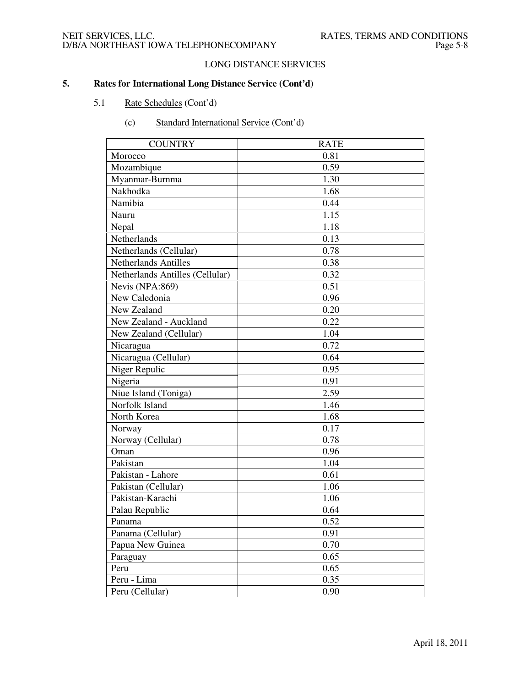# LONG DISTANCE SERVICES

# **5. Rates for International Long Distance Service (Cont'd)**

# 5.1 Rate Schedules (Cont'd)

| <b>COUNTRY</b>                  | <b>RATE</b> |
|---------------------------------|-------------|
| Morocco                         | 0.81        |
| Mozambique                      | 0.59        |
| Myanmar-Burnma                  | 1.30        |
| Nakhodka                        | 1.68        |
| Namibia                         | 0.44        |
| Nauru                           | 1.15        |
| Nepal                           | 1.18        |
| Netherlands                     | 0.13        |
| Netherlands (Cellular)          | 0.78        |
| <b>Netherlands Antilles</b>     | 0.38        |
| Netherlands Antilles (Cellular) | 0.32        |
| Nevis (NPA:869)                 | 0.51        |
| New Caledonia                   | 0.96        |
| New Zealand                     | 0.20        |
| New Zealand - Auckland          | 0.22        |
| New Zealand (Cellular)          | 1.04        |
| Nicaragua                       | 0.72        |
| Nicaragua (Cellular)            | 0.64        |
| Niger Repulic                   | 0.95        |
| Nigeria                         | 0.91        |
| Niue Island (Toniga)            | 2.59        |
| Norfolk Island                  | 1.46        |
| North Korea                     | 1.68        |
| Norway                          | 0.17        |
| Norway (Cellular)               | 0.78        |
| Oman                            | 0.96        |
| Pakistan                        | 1.04        |
| Pakistan - Lahore               | 0.61        |
| Pakistan (Cellular)             | 1.06        |
| Pakistan-Karachi                | 1.06        |
| Palau Republic                  | 0.64        |
| Panama                          | 0.52        |
| Panama (Cellular)               | 0.91        |
| Papua New Guinea                | 0.70        |
| Paraguay                        | 0.65        |
| Peru                            | 0.65        |
| Peru - Lima                     | 0.35        |
| Peru (Cellular)                 | 0.90        |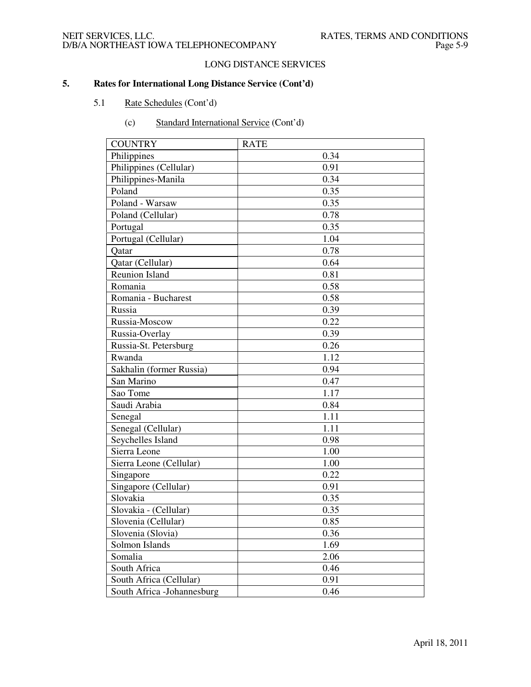# LONG DISTANCE SERVICES

- 5.1 Rate Schedules (Cont'd)
	- (c) Standard International Service (Cont'd)

| <b>COUNTRY</b>              | <b>RATE</b> |
|-----------------------------|-------------|
| Philippines                 | 0.34        |
| Philippines (Cellular)      | 0.91        |
| Philippines-Manila          | 0.34        |
| Poland                      | 0.35        |
| Poland - Warsaw             | 0.35        |
| Poland (Cellular)           | 0.78        |
| Portugal                    | 0.35        |
| Portugal (Cellular)         | 1.04        |
| Qatar                       | 0.78        |
| Qatar (Cellular)            | 0.64        |
| <b>Reunion Island</b>       | 0.81        |
| Romania                     | 0.58        |
| Romania - Bucharest         | 0.58        |
| Russia                      | 0.39        |
| Russia-Moscow               | 0.22        |
| Russia-Overlay              | 0.39        |
| Russia-St. Petersburg       | 0.26        |
| Rwanda                      | 1.12        |
| Sakhalin (former Russia)    | 0.94        |
| San Marino                  | 0.47        |
| Sao Tome                    | 1.17        |
| Saudi Arabia                | 0.84        |
| Senegal                     | 1.11        |
| Senegal (Cellular)          | 1.11        |
| Seychelles Island           | 0.98        |
| Sierra Leone                | 1.00        |
| Sierra Leone (Cellular)     | 1.00        |
| Singapore                   | 0.22        |
| Singapore (Cellular)        | 0.91        |
| Slovakia                    | 0.35        |
| Slovakia - (Cellular)       | 0.35        |
| Slovenia (Cellular)         | 0.85        |
| Slovenia (Slovia)           | 0.36        |
| Solmon Islands              | 1.69        |
| Somalia                     | 2.06        |
| South Africa                | 0.46        |
| South Africa (Cellular)     | 0.91        |
| South Africa - Johannesburg | 0.46        |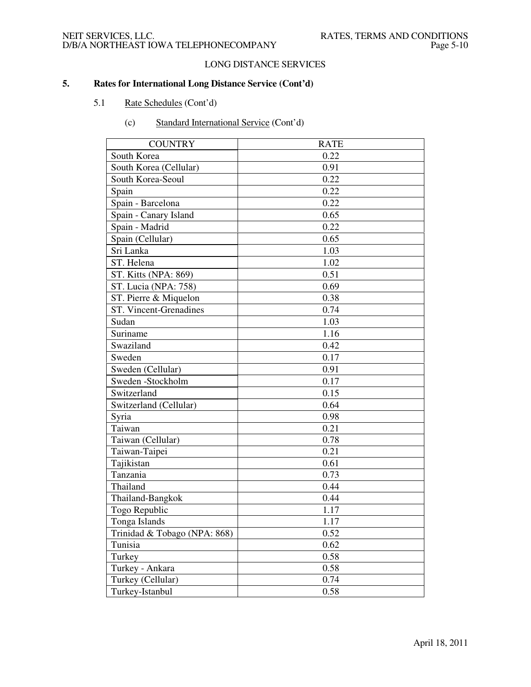# LONG DISTANCE SERVICES

- 5.1 Rate Schedules (Cont'd)
	- (c) Standard International Service (Cont'd)

| <b>COUNTRY</b>               | <b>RATE</b> |
|------------------------------|-------------|
| South Korea                  | 0.22        |
| South Korea (Cellular)       | 0.91        |
| South Korea-Seoul            | 0.22        |
| Spain                        | 0.22        |
| Spain - Barcelona            | 0.22        |
| Spain - Canary Island        | 0.65        |
| Spain - Madrid               | 0.22        |
| Spain (Cellular)             | 0.65        |
| Sri Lanka                    | 1.03        |
| ST. Helena                   | 1.02        |
| ST. Kitts (NPA: 869)         | 0.51        |
| ST. Lucia (NPA: 758)         | 0.69        |
| ST. Pierre & Miquelon        | 0.38        |
| ST. Vincent-Grenadines       | 0.74        |
| Sudan                        | 1.03        |
| Suriname                     | 1.16        |
| Swaziland                    | 0.42        |
| Sweden                       | 0.17        |
| Sweden (Cellular)            | 0.91        |
| Sweden -Stockholm            | 0.17        |
| Switzerland                  | 0.15        |
| Switzerland (Cellular)       | 0.64        |
| Syria                        | 0.98        |
| Taiwan                       | 0.21        |
| Taiwan (Cellular)            | 0.78        |
| Taiwan-Taipei                | 0.21        |
| Tajikistan                   | 0.61        |
| Tanzania                     | 0.73        |
| Thailand                     | 0.44        |
| Thailand-Bangkok             | 0.44        |
| Togo Republic                | 1.17        |
| Tonga Islands                | 1.17        |
| Trinidad & Tobago (NPA: 868) | 0.52        |
| Tunisia                      | 0.62        |
| Turkey                       | 0.58        |
| Turkey - Ankara              | 0.58        |
| Turkey (Cellular)            | 0.74        |
| Turkey-Istanbul              | 0.58        |